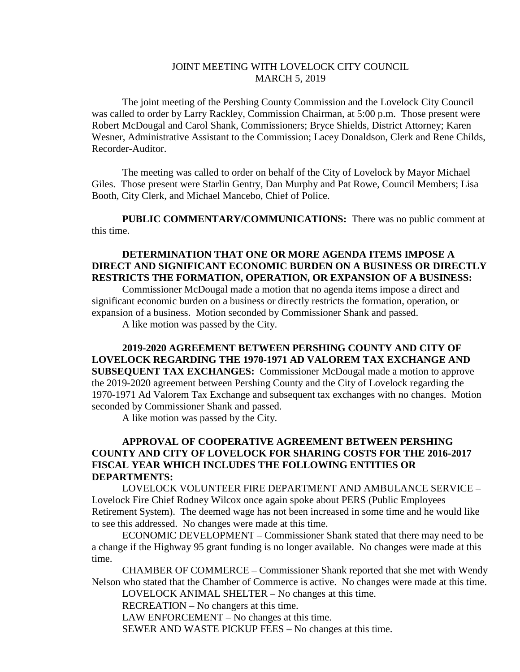## JOINT MEETING WITH LOVELOCK CITY COUNCIL MARCH 5, 2019

The joint meeting of the Pershing County Commission and the Lovelock City Council was called to order by Larry Rackley, Commission Chairman, at 5:00 p.m. Those present were Robert McDougal and Carol Shank, Commissioners; Bryce Shields, District Attorney; Karen Wesner, Administrative Assistant to the Commission; Lacey Donaldson, Clerk and Rene Childs, Recorder-Auditor.

The meeting was called to order on behalf of the City of Lovelock by Mayor Michael Giles. Those present were Starlin Gentry, Dan Murphy and Pat Rowe, Council Members; Lisa Booth, City Clerk, and Michael Mancebo, Chief of Police.

**PUBLIC COMMENTARY/COMMUNICATIONS:** There was no public comment at this time.

## **DETERMINATION THAT ONE OR MORE AGENDA ITEMS IMPOSE A DIRECT AND SIGNIFICANT ECONOMIC BURDEN ON A BUSINESS OR DIRECTLY RESTRICTS THE FORMATION, OPERATION, OR EXPANSION OF A BUSINESS:**

Commissioner McDougal made a motion that no agenda items impose a direct and significant economic burden on a business or directly restricts the formation, operation, or expansion of a business. Motion seconded by Commissioner Shank and passed.

A like motion was passed by the City.

**2019-2020 AGREEMENT BETWEEN PERSHING COUNTY AND CITY OF LOVELOCK REGARDING THE 1970-1971 AD VALOREM TAX EXCHANGE AND SUBSEQUENT TAX EXCHANGES:** Commissioner McDougal made a motion to approve the 2019-2020 agreement between Pershing County and the City of Lovelock regarding the 1970-1971 Ad Valorem Tax Exchange and subsequent tax exchanges with no changes. Motion seconded by Commissioner Shank and passed.

A like motion was passed by the City.

## **APPROVAL OF COOPERATIVE AGREEMENT BETWEEN PERSHING COUNTY AND CITY OF LOVELOCK FOR SHARING COSTS FOR THE 2016-2017 FISCAL YEAR WHICH INCLUDES THE FOLLOWING ENTITIES OR DEPARTMENTS:**

LOVELOCK VOLUNTEER FIRE DEPARTMENT AND AMBULANCE SERVICE – Lovelock Fire Chief Rodney Wilcox once again spoke about PERS (Public Employees Retirement System). The deemed wage has not been increased in some time and he would like to see this addressed. No changes were made at this time.

ECONOMIC DEVELOPMENT – Commissioner Shank stated that there may need to be a change if the Highway 95 grant funding is no longer available. No changes were made at this time.

CHAMBER OF COMMERCE – Commissioner Shank reported that she met with Wendy Nelson who stated that the Chamber of Commerce is active. No changes were made at this time.

LOVELOCK ANIMAL SHELTER – No changes at this time.

RECREATION – No changers at this time.

LAW ENFORCEMENT – No changes at this time.

SEWER AND WASTE PICKUP FEES – No changes at this time.